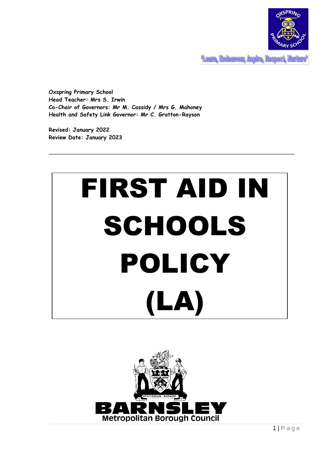

**Team, Endeavour, Assire, Respect, Murture** 

**Oxspring Primary School Head Teacher: Mrs S. Irwin Co-Chair of Governors: Mr M. Cassidy / Mrs G. Mahoney Health and Safety Link Governor: Mr C. Gratton-Rayson**

**Revised: January 2022 Review Date: January 2023**



\_\_\_\_\_\_\_\_\_\_\_\_\_\_\_\_\_\_\_\_\_\_\_\_\_\_\_\_\_\_\_\_\_\_\_\_\_\_\_\_\_\_\_\_\_\_\_\_\_\_\_\_\_\_\_\_\_\_\_\_\_\_\_\_\_\_\_\_\_\_\_\_\_\_

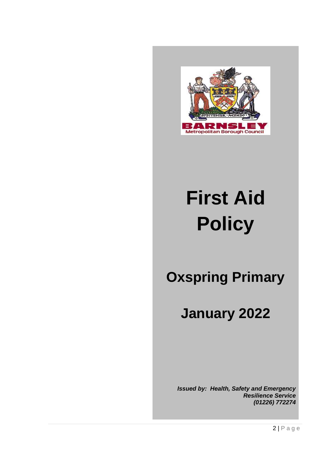

# **First Aid Policy**

## **Oxspring Primary**

## **January 2022**

*Issued by: Health, Safety and Emergency Resilience Service (01226) 772274*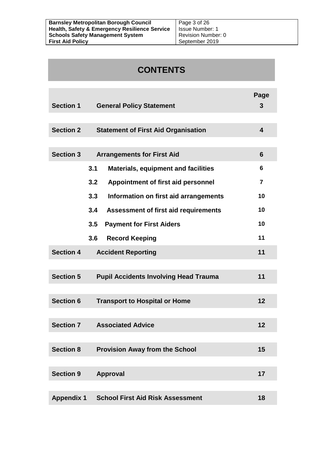| <b>Barnsley Metropolitan Borough Council</b>             | Page 3 of 26       |
|----------------------------------------------------------|--------------------|
| <b>Health, Safety &amp; Emergency Resilience Service</b> | - Issue Number: 1  |
| <b>Schools Safety Management System</b>                  | Revision Number: 0 |
| <b>First Aid Policy</b>                                  | September 2019     |

## **CONTENTS**

| <b>Section 1</b>                                               | <b>General Policy Statement</b>                   | Page<br>3 |  |
|----------------------------------------------------------------|---------------------------------------------------|-----------|--|
|                                                                |                                                   |           |  |
| <b>Section 2</b>                                               | <b>Statement of First Aid Organisation</b>        | 4         |  |
|                                                                |                                                   |           |  |
| <b>Section 3</b>                                               | <b>Arrangements for First Aid</b>                 | 6         |  |
|                                                                | 3.1<br><b>Materials, equipment and facilities</b> | 6         |  |
|                                                                | 3.2<br>Appointment of first aid personnel         | 7         |  |
|                                                                | 3.3<br>Information on first aid arrangements      | 10        |  |
|                                                                | 3.4<br>Assessment of first aid requirements       | 10        |  |
|                                                                | 3.5<br><b>Payment for First Aiders</b>            | 10        |  |
|                                                                | 3.6<br><b>Record Keeping</b>                      | 11        |  |
| <b>Section 4</b>                                               | <b>Accident Reporting</b>                         | 11        |  |
|                                                                |                                                   |           |  |
| <b>Section 5</b>                                               | <b>Pupil Accidents Involving Head Trauma</b>      | 11        |  |
|                                                                |                                                   |           |  |
| <b>Section 6</b><br>12<br><b>Transport to Hospital or Home</b> |                                                   |           |  |
|                                                                |                                                   |           |  |
| <b>Section 7</b><br><b>Associated Advice</b><br>12             |                                                   |           |  |
|                                                                |                                                   |           |  |
| <b>Section 8</b>                                               | <b>Provision Away from the School</b>             | 15        |  |
|                                                                |                                                   |           |  |
| <b>Section 9</b><br>Approval<br>17                             |                                                   |           |  |
|                                                                |                                                   |           |  |
| <b>School First Aid Risk Assessment</b><br><b>Appendix 1</b>   |                                                   |           |  |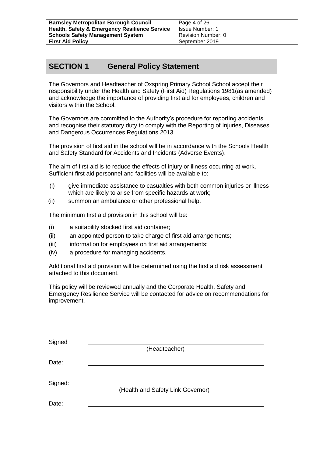Page 4 of 26 Issue Number: 1 Revision Number: 0 September 2019

## **SECTION 1 General Policy Statement**

The Governors and Headteacher of Oxspring Primary School School accept their responsibility under the Health and Safety (First Aid) Regulations 1981(as amended) and acknowledge the importance of providing first aid for employees, children and visitors within the School.

The Governors are committed to the Authority's procedure for reporting accidents and recognise their statutory duty to comply with the Reporting of Injuries, Diseases and Dangerous Occurrences Regulations 2013.

The provision of first aid in the school will be in accordance with the Schools Health and Safety Standard for Accidents and Incidents (Adverse Events).

The aim of first aid is to reduce the effects of injury or illness occurring at work. Sufficient first aid personnel and facilities will be available to:

- (i) give immediate assistance to casualties with both common injuries or illness which are likely to arise from specific hazards at work;
- (ii) summon an ambulance or other professional help.

The minimum first aid provision in this school will be:

- (i) a suitability stocked first aid container;
- (ii) an appointed person to take charge of first aid arrangements;
- (iii) information for employees on first aid arrangements;
- (iv) a procedure for managing accidents.

Additional first aid provision will be determined using the first aid risk assessment attached to this document.

This policy will be reviewed annually and the Corporate Health, Safety and Emergency Resilience Service will be contacted for advice on recommendations for improvement.

| Signed  |                                   |
|---------|-----------------------------------|
|         | (Headteacher)                     |
| Date:   |                                   |
|         |                                   |
| Signed: |                                   |
|         | (Health and Safety Link Governor) |
| Date:   |                                   |
|         |                                   |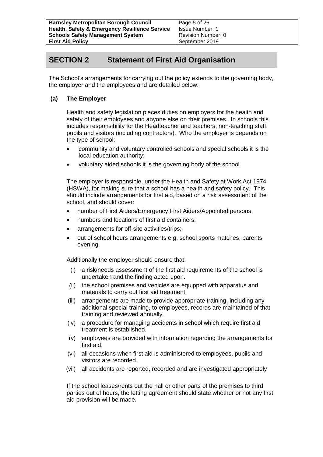### **SECTION 2 Statement of First Aid Organisation**

The School's arrangements for carrying out the policy extends to the governing body, the employer and the employees and are detailed below:

#### **(a) The Employer**

Health and safety legislation places duties on employers for the health and safety of their employees and anyone else on their premises. In schools this includes responsibility for the Headteacher and teachers, non-teaching staff, pupils and visitors (including contractors). Who the employer is depends on the type of school;

- community and voluntary controlled schools and special schools it is the local education authority;
- voluntary aided schools it is the governing body of the school.

The employer is responsible, under the Health and Safety at Work Act 1974 (HSWA), for making sure that a school has a health and safety policy. This should include arrangements for first aid, based on a risk assessment of the school, and should cover:

- number of First Aiders/Emergency First Aiders/Appointed persons;
- numbers and locations of first aid containers;
- arrangements for off-site activities/trips;
- out of school hours arrangements e.g. school sports matches, parents evening.

Additionally the employer should ensure that:

- (i) a risk/needs assessment of the first aid requirements of the school is undertaken and the finding acted upon.
- (ii) the school premises and vehicles are equipped with apparatus and materials to carry out first aid treatment.
- (iii) arrangements are made to provide appropriate training, including any additional special training, to employees, records are maintained of that training and reviewed annually.
- (iv) a procedure for managing accidents in school which require first aid treatment is established.
- (v) employees are provided with information regarding the arrangements for first aid.
- (vi) all occasions when first aid is administered to employees, pupils and visitors are recorded.
- (vii) all accidents are reported, recorded and are investigated appropriately

If the school leases/rents out the hall or other parts of the premises to third parties out of hours, the letting agreement should state whether or not any first aid provision will be made.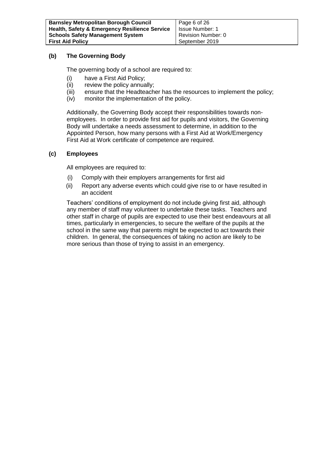#### **(b) The Governing Body**

The governing body of a school are required to:

- (i) have a First Aid Policy;
- (ii) review the policy annually;
- (iii) ensure that the Headteacher has the resources to implement the policy;
- (iv) monitor the implementation of the policy.

Additionally, the Governing Body accept their responsibilities towards nonemployees. In order to provide first aid for pupils and visitors, the Governing Body will undertake a needs assessment to determine, in addition to the Appointed Person, how many persons with a First Aid at Work/Emergency First Aid at Work certificate of competence are required.

#### **(c) Employees**

All employees are required to:

- (i) Comply with their employers arrangements for first aid
- (ii) Report any adverse events which could give rise to or have resulted in an accident

Teachers' conditions of employment do not include giving first aid, although any member of staff may volunteer to undertake these tasks. Teachers and other staff in charge of pupils are expected to use their best endeavours at all times, particularly in emergencies, to secure the welfare of the pupils at the school in the same way that parents might be expected to act towards their children. In general, the consequences of taking no action are likely to be more serious than those of trying to assist in an emergency.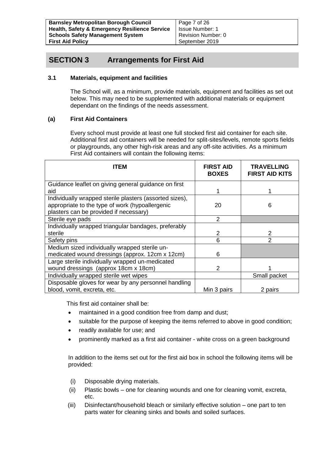Page 7 of 26 Issue Number: 1 Revision Number: 0 September 2019

### **SECTION 3 Arrangements for First Aid**

#### **3.1 Materials, equipment and facilities**

The School will, as a minimum, provide materials, equipment and facilities as set out below. This may need to be supplemented with additional materials or equipment dependant on the findings of the needs assessment.

#### **(a) First Aid Containers**

Every school must provide at least one full stocked first aid container for each site. Additional first aid containers will be needed for split-sites/levels, remote sports fields or playgrounds, any other high-risk areas and any off-site activities. As a minimum First Aid containers will contain the following items:

| ITEM                                                                                                                                                 | <b>FIRST AID</b><br><b>BOXES</b> | <b>TRAVELLING</b><br><b>FIRST AID KITS</b> |
|------------------------------------------------------------------------------------------------------------------------------------------------------|----------------------------------|--------------------------------------------|
| Guidance leaflet on giving general guidance on first<br>aid                                                                                          |                                  |                                            |
| Individually wrapped sterile plasters (assorted sizes),<br>appropriate to the type of work (hypoallergenic<br>plasters can be provided if necessary) | 20                               | 6                                          |
| Sterile eye pads                                                                                                                                     | 2                                |                                            |
| Individually wrapped triangular bandages, preferably                                                                                                 |                                  |                                            |
| sterile                                                                                                                                              | 2                                | 2                                          |
| Safety pins                                                                                                                                          | 6                                | 2                                          |
| Medium sized individually wrapped sterile un-                                                                                                        |                                  |                                            |
| medicated wound dressings (approx. 12cm x 12cm)                                                                                                      | 6                                |                                            |
| Large sterile individually wrapped un-medicated                                                                                                      |                                  |                                            |
| wound dressings (approx 18cm x 18cm)                                                                                                                 | 2                                |                                            |
| Individually wrapped sterile wet wipes                                                                                                               |                                  | Small packet                               |
| Disposable gloves for wear by any personnel handling                                                                                                 |                                  |                                            |
| blood, vomit, excreta, etc.                                                                                                                          | Min 3 pairs                      | 2 pairs                                    |

This first aid container shall be:

- maintained in a good condition free from damp and dust;
- suitable for the purpose of keeping the items referred to above in good condition;
- readily available for use; and
- prominently marked as a first aid container white cross on a green background

In addition to the items set out for the first aid box in school the following items will be provided:

- (i) Disposable drying materials.
- (ii) Plastic bowls one for cleaning wounds and one for cleaning vomit, excreta, etc.
- (iii) Disinfectant/household bleach or similarly effective solution one part to ten parts water for cleaning sinks and bowls and soiled surfaces.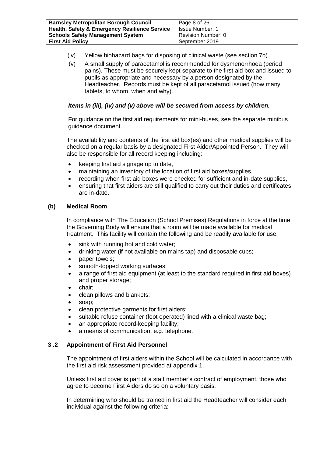| <b>Barnsley Metropolitan Borough Council</b>             | Page 8 of 26           |
|----------------------------------------------------------|------------------------|
| <b>Health, Safety &amp; Emergency Resilience Service</b> | <b>Issue Number: 1</b> |
| <b>Schools Safety Management System</b>                  | Revision Number: 0     |
| <b>First Aid Policy</b>                                  | September 2019         |

- (iv) Yellow biohazard bags for disposing of clinical waste (see section 7b).
- (v) A small supply of paracetamol is recommended for dysmenorrhoea (period pains). These must be securely kept separate to the first aid box and issued to pupils as appropriate and necessary by a person designated by the Headteacher. Records must be kept of all paracetamol issued (how many tablets, to whom, when and why).

#### *Items in (iii), (iv) and (v) above will be secured from access by children.*

For guidance on the first aid requirements for mini-buses, see the separate minibus guidance document.

The availability and contents of the first aid box(es) and other medical supplies will be checked on a regular basis by a designated First Aider/Appointed Person. They will also be responsible for all record keeping including:

- keeping first aid signage up to date,
- maintaining an inventory of the location of first aid boxes/supplies,
- recording when first aid boxes were checked for sufficient and in-date supplies,
- ensuring that first aiders are still qualified to carry out their duties and certificates are in-date.

#### **(b) Medical Room**

In compliance with The Education (School Premises) Regulations in force at the time the Governing Body will ensure that a room will be made available for medical treatment. This facility will contain the following and be readily available for use:

- sink with running hot and cold water;
- drinking water (if not available on mains tap) and disposable cups;
- paper towels;
- smooth-topped working surfaces;
- a range of first aid equipment (at least to the standard required in first aid boxes) and proper storage;
- chair;
- clean pillows and blankets;
- soap:
- clean protective garments for first aiders:
- suitable refuse container (foot operated) lined with a clinical waste bag;
- an appropriate record-keeping facility;
- a means of communication, e.g. telephone.

#### **3 .2 Appointment of First Aid Personnel**

The appointment of first aiders within the School will be calculated in accordance with the first aid risk assessment provided at appendix 1.

Unless first aid cover is part of a staff member's contract of employment, those who agree to become First Aiders do so on a voluntary basis.

In determining who should be trained in first aid the Headteacher will consider each individual against the following criteria: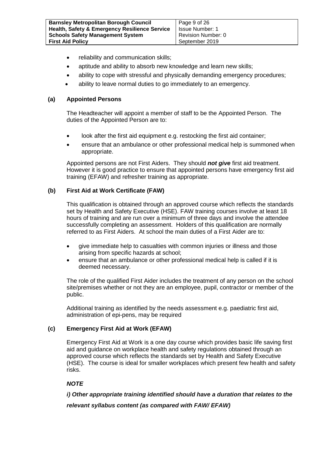| <b>Barnsley Metropolitan Borough Council</b>             | Page 9 of 26       |
|----------------------------------------------------------|--------------------|
| <b>Health, Safety &amp; Emergency Resilience Service</b> | Issue Number: 1    |
| <b>Schools Safety Management System</b>                  | Revision Number: 0 |
| <b>First Aid Policy</b>                                  | September 2019     |

- reliability and communication skills;
- aptitude and ability to absorb new knowledge and learn new skills;
- ability to cope with stressful and physically demanding emergency procedures;
- ability to leave normal duties to go immediately to an emergency.

#### **(a) Appointed Persons**

The Headteacher will appoint a member of staff to be the Appointed Person. The duties of the Appointed Person are to:

- look after the first aid equipment e.g. restocking the first aid container;
- ensure that an ambulance or other professional medical help is summoned when appropriate.

Appointed persons are not First Aiders. They should *not give* first aid treatment. However it is good practice to ensure that appointed persons have emergency first aid training (EFAW) and refresher training as appropriate.

#### **(b) First Aid at Work Certificate (FAW)**

This qualification is obtained through an approved course which reflects the standards set by Health and Safety Executive (HSE). FAW training courses involve at least 18 hours of training and are run over a minimum of three days and involve the attendee successfully completing an assessment. Holders of this qualification are normally referred to as First Aiders. At school the main duties of a First Aider are to:

- give immediate help to casualties with common injuries or illness and those arising from specific hazards at school;
- ensure that an ambulance or other professional medical help is called if it is deemed necessary.

The role of the qualified First Aider includes the treatment of any person on the school site/premises whether or not they are an employee, pupil, contractor or member of the public.

Additional training as identified by the needs assessment e.g. paediatric first aid, administration of epi-pens, may be required

#### **(c) Emergency First Aid at Work (EFAW)**

Emergency First Aid at Work is a one day course which provides basic life saving first aid and guidance on workplace health and safety regulations obtained through an approved course which reflects the standards set by Health and Safety Executive (HSE). The course is ideal for smaller workplaces which present few health and safety risks.

#### *NOTE*

*i) Other appropriate training identified should have a duration that relates to the* 

*relevant syllabus content (as compared with FAW/ EFAW)*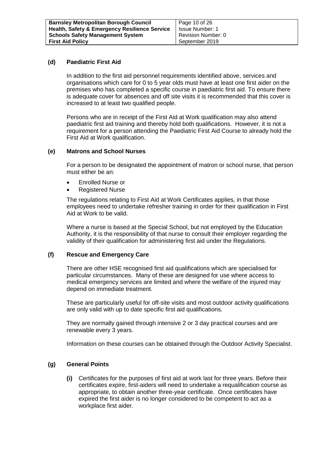#### **(d) Paediatric First Aid**

In addition to the first aid personnel requirements identified above, services and organisations which care for 0 to 5 year olds must have at least one first aider on the premises who has completed a specific course in paediatric first aid. To ensure there is adequate cover for absences and off site visits it is recommended that this cover is increased to at least two qualified people.

Persons who are in receipt of the First Aid at Work qualification may also attend paediatric first aid training and thereby hold both qualifications. However, it is not a requirement for a person attending the Paediatric First Aid Course to already hold the First Aid at Work qualification.

#### **(e) Matrons and School Nurses**

For a person to be designated the appointment of matron or school nurse, that person must either be an:

- Enrolled Nurse or
- Registered Nurse

The regulations relating to First Aid at Work Certificates applies, in that those employees need to undertake refresher training in order for their qualification in First Aid at Work to be valid.

Where a nurse is based at the Special School, but not employed by the Education Authority, it is the responsibility of that nurse to consult their employer regarding the validity of their qualification for administering first aid under the Regulations.

#### **(f) Rescue and Emergency Care**

There are other HSE recognised first aid qualifications which are specialised for particular circumstances. Many of these are designed for use where access to medical emergency services are limited and where the welfare of the injured may depend on immediate treatment.

These are particularly useful for off-site visits and most outdoor activity qualifications are only valid with up to date specific first aid qualifications.

They are normally gained through intensive 2 or 3 day practical courses and are renewable every 3 years.

Information on these courses can be obtained through the Outdoor Activity Specialist.

#### **(g) General Points**

**(i)** Certificates for the purposes of first aid at work last for three years. Before their certificates expire, first-aiders will need to undertake a requalification course as appropriate, to obtain another three-year certificate. Once certificates have expired the first aider is no longer considered to be competent to act as a workplace first aider*.*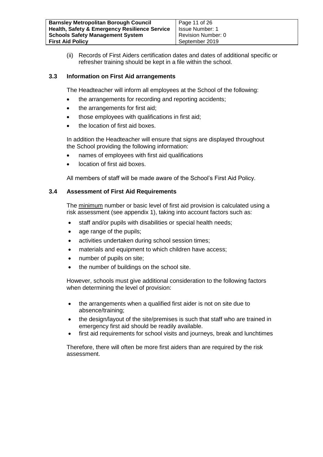| <b>Barnsley Metropolitan Borough Council</b>             | Page 11 of 26      |
|----------------------------------------------------------|--------------------|
| <b>Health, Safety &amp; Emergency Resilience Service</b> | Issue Number: 1    |
| <b>Schools Safety Management System</b>                  | Revision Number: 0 |
| <b>First Aid Policy</b>                                  | September 2019     |

(ii) Records of First Aiders certification dates and dates of additional specific or refresher training should be kept in a file within the school.

#### **3.3 Information on First Aid arrangements**

The Headteacher will inform all employees at the School of the following:

- the arrangements for recording and reporting accidents;
- the arrangements for first aid;
- those employees with qualifications in first aid:
- the location of first aid boxes.

In addition the Headteacher will ensure that signs are displayed throughout the School providing the following information:

- names of employees with first aid qualifications
- location of first aid boxes.

All members of staff will be made aware of the School's First Aid Policy.

#### **3.4 Assessment of First Aid Requirements**

The minimum number or basic level of first aid provision is calculated using a risk assessment (see appendix 1), taking into account factors such as:

- staff and/or pupils with disabilities or special health needs;
- age range of the pupils;
- activities undertaken during school session times;
- materials and equipment to which children have access;
- number of pupils on site;
- the number of buildings on the school site.

However, schools must give additional consideration to the following factors when determining the level of provision:

- the arrangements when a qualified first aider is not on site due to absence/training;
- the design/layout of the site/premises is such that staff who are trained in emergency first aid should be readily available.
- first aid requirements for school visits and journeys, break and lunchtimes

Therefore, there will often be more first aiders than are required by the risk assessment.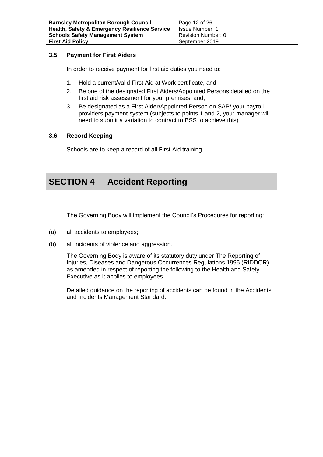#### **3.5 Payment for First Aiders**

In order to receive payment for first aid duties you need to:

- 1. Hold a current/valid First Aid at Work certificate, and;
- 2. Be one of the designated First Aiders/Appointed Persons detailed on the first aid risk assessment for your premises, and;
- 3. Be designated as a First Aider/Appointed Person on SAP/ your payroll providers payment system (subjects to points 1 and 2, your manager will need to submit a variation to contract to BSS to achieve this)

#### **3.6 Record Keeping**

Schools are to keep a record of all First Aid training.

## **SECTION 4 Accident Reporting**

The Governing Body will implement the Council's Procedures for reporting:

- (a) all accidents to employees;
- (b) all incidents of violence and aggression.

The Governing Body is aware of its statutory duty under The Reporting of Injuries, Diseases and Dangerous Occurrences Regulations 1995 (RIDDOR) as amended in respect of reporting the following to the Health and Safety Executive as it applies to employees.

Detailed guidance on the reporting of accidents can be found in the Accidents and Incidents Management Standard.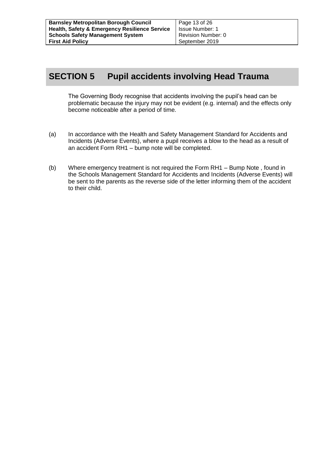## **SECTION 5 Pupil accidents involving Head Trauma**

The Governing Body recognise that accidents involving the pupil's head can be problematic because the injury may not be evident (e.g. internal) and the effects only become noticeable after a period of time.

- (a) In accordance with the Health and Safety Management Standard for Accidents and Incidents (Adverse Events), where a pupil receives a blow to the head as a result of an accident Form RH1 – bump note will be completed.
- (b) Where emergency treatment is not required the Form RH1 Bump Note , found in the Schools Management Standard for Accidents and Incidents (Adverse Events) will be sent to the parents as the reverse side of the letter informing them of the accident to their child.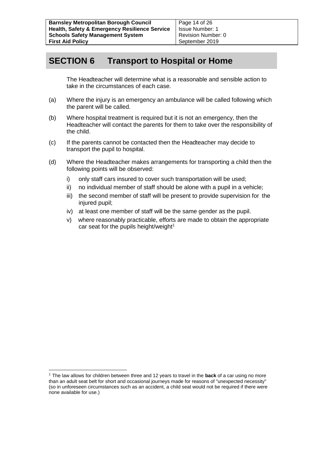## **SECTION 6 Transport to Hospital or Home**

The Headteacher will determine what is a reasonable and sensible action to take in the circumstances of each case.

- (a) Where the injury is an emergency an ambulance will be called following which the parent will be called.
- (b) Where hospital treatment is required but it is not an emergency, then the Headteacher will contact the parents for them to take over the responsibility of the child.
- (c) If the parents cannot be contacted then the Headteacher may decide to transport the pupil to hospital.
- (d) Where the Headteacher makes arrangements for transporting a child then the following points will be observed:
	- i) only staff cars insured to cover such transportation will be used;
	- ii) no individual member of staff should be alone with a pupil in a vehicle;
	- iii) the second member of staff will be present to provide supervision for the injured pupil:
	- iv) at least one member of staff will be the same gender as the pupil.
	- v) where reasonably practicable, efforts are made to obtain the appropriate car seat for the pupils height/weight $1$

-

<sup>1</sup> The law allows for children between three and 12 years to travel in the **back** of a car using no more than an adult seat belt for short and occasional journeys made for reasons of "unexpected necessity" (so in unforeseen circumstances such as an accident, a child seat would not be required if there were none available for use.)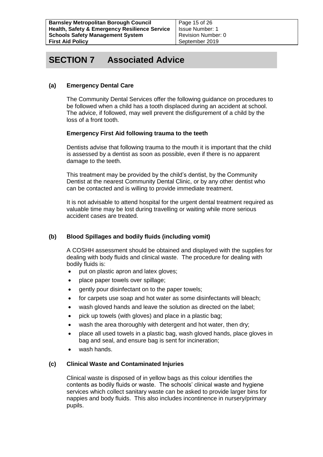Page 15 of 26 Issue Number: 1 Revision Number: 0 September 2019

## **SECTION 7 Associated Advice**

#### **(a) Emergency Dental Care**

The Community Dental Services offer the following guidance on procedures to be followed when a child has a tooth displaced during an accident at school. The advice, if followed, may well prevent the disfigurement of a child by the loss of a front tooth.

#### **Emergency First Aid following trauma to the teeth**

Dentists advise that following trauma to the mouth it is important that the child is assessed by a dentist as soon as possible, even if there is no apparent damage to the teeth.

This treatment may be provided by the child's dentist, by the Community Dentist at the nearest Community Dental Clinic, or by any other dentist who can be contacted and is willing to provide immediate treatment.

It is not advisable to attend hospital for the urgent dental treatment required as valuable time may be lost during travelling or waiting while more serious accident cases are treated.

#### **(b) Blood Spillages and bodily fluids (including vomit)**

A COSHH assessment should be obtained and displayed with the supplies for dealing with body fluids and clinical waste. The procedure for dealing with bodily fluids is:

- put on plastic apron and latex gloves;
- place paper towels over spillage;
- gently pour disinfectant on to the paper towels;
- for carpets use soap and hot water as some disinfectants will bleach;
- wash gloved hands and leave the solution as directed on the label:
- pick up towels (with gloves) and place in a plastic bag;
- wash the area thoroughly with detergent and hot water, then dry;
- place all used towels in a plastic bag, wash gloved hands, place gloves in bag and seal, and ensure bag is sent for incineration;
- wash hands.

#### **(c) Clinical Waste and Contaminated Injuries**

Clinical waste is disposed of in yellow bags as this colour identifies the contents as bodily fluids or waste. The schools' clinical waste and hygiene services which collect sanitary waste can be asked to provide larger bins for nappies and body fluids. This also includes incontinence in nursery/primary pupils.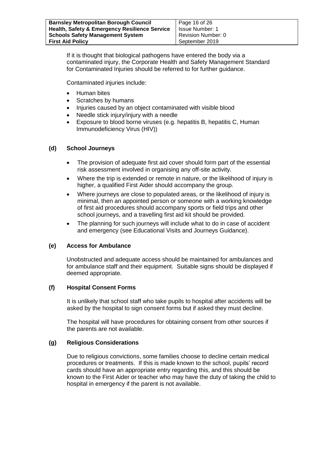| <b>Barnsley Metropolitan Borough Council</b>             | Page 16 of 26      |
|----------------------------------------------------------|--------------------|
| <b>Health, Safety &amp; Emergency Resilience Service</b> | Issue Number: 1    |
| <b>Schools Safety Management System</b>                  | Revision Number: 0 |
| <b>First Aid Policy</b>                                  | September 2019     |

If it is thought that biological pathogens have entered the body via a contaminated injury, the Corporate Health and Safety Management Standard for Contaminated Injuries should be referred to for further guidance.

Contaminated injuries include:

- Human bites
- Scratches by humans
- Injuries caused by an object contaminated with visible blood
- Needle stick injury/injury with a needle
- Exposure to blood borne viruses (e.g. hepatitis B, hepatitis C, Human Immunodeficiency Virus (HIV))

#### **(d) School Journeys**

- The provision of adequate first aid cover should form part of the essential risk assessment involved in organising any off-site activity.
- Where the trip is extended or remote in nature, or the likelihood of injury is higher, a qualified First Aider should accompany the group.
- Where journeys are close to populated areas, or the likelihood of injury is minimal, then an appointed person or someone with a working knowledge of first aid procedures should accompany sports or field trips and other school journeys, and a travelling first aid kit should be provided.
- The planning for such journeys will include what to do in case of accident and emergency (see Educational Visits and Journeys Guidance).

#### **(e) Access for Ambulance**

Unobstructed and adequate access should be maintained for ambulances and for ambulance staff and their equipment. Suitable signs should be displayed if deemed appropriate.

#### **(f) Hospital Consent Forms**

It is unlikely that school staff who take pupils to hospital after accidents will be asked by the hospital to sign consent forms but if asked they must decline.

The hospital will have procedures for obtaining consent from other sources if the parents are not available.

#### **(g) Religious Considerations**

Due to religious convictions, some families choose to decline certain medical procedures or treatments. If this is made known to the school, pupils' record cards should have an appropriate entry regarding this, and this should be known to the First Aider or teacher who may have the duty of taking the child to hospital in emergency if the parent is not available.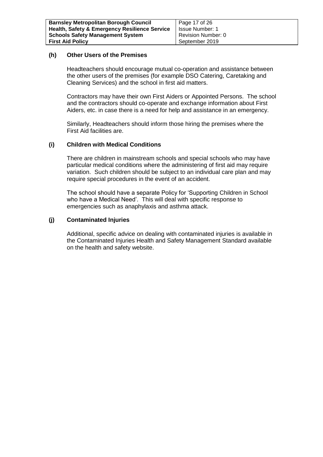#### **(h) Other Users of the Premises**

Headteachers should encourage mutual co-operation and assistance between the other users of the premises (for example DSO Catering, Caretaking and Cleaning Services) and the school in first aid matters.

Contractors may have their own First Aiders or Appointed Persons. The school and the contractors should co-operate and exchange information about First Aiders, etc. in case there is a need for help and assistance in an emergency.

Similarly, Headteachers should inform those hiring the premises where the First Aid facilities are.

#### **(i) Children with Medical Conditions**

There are children in mainstream schools and special schools who may have particular medical conditions where the administering of first aid may require variation. Such children should be subject to an individual care plan and may require special procedures in the event of an accident.

The school should have a separate Policy for 'Supporting Children in School who have a Medical Need'. This will deal with specific response to emergencies such as anaphylaxis and asthma attack.

#### **(j) Contaminated Injuries**

Additional, specific advice on dealing with contaminated injuries is available in the [Contaminated Injuries Health and Safety Management Standard](http://test-intranet/intradoc/groups/public/documents/actioncirculars/contaminated_injuries.rtf) available on the health and safety website.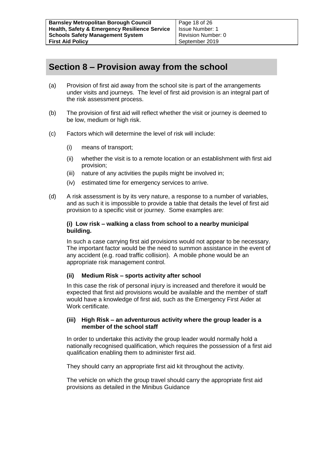## **Section 8 – Provision away from the school**

- (a) Provision of first aid away from the school site is part of the arrangements under visits and journeys. The level of first aid provision is an integral part of the risk assessment process.
- (b) The provision of first aid will reflect whether the visit or journey is deemed to be low, medium or high risk.
- (c) Factors which will determine the level of risk will include:
	- (i) means of transport;
	- (ii) whether the visit is to a remote location or an establishment with first aid provision;
	- (iii) nature of any activities the pupils might be involved in;
	- (iv) estimated time for emergency services to arrive.
- (d) A risk assessment is by its very nature, a response to a number of variables, and as such it is impossible to provide a table that details the level of first aid provision to a specific visit or journey. Some examples are:

#### **(i) Low risk – walking a class from school to a nearby municipal building.**

In such a case carrying first aid provisions would not appear to be necessary. The important factor would be the need to summon assistance in the event of any accident (e.g. road traffic collision). A mobile phone would be an appropriate risk management control.

#### **(ii) Medium Risk – sports activity after school**

In this case the risk of personal injury is increased and therefore it would be expected that first aid provisions would be available and the member of staff would have a knowledge of first aid, such as the Emergency First Aider at Work certificate.

#### **(iii) High Risk – an adventurous activity where the group leader is a member of the school staff**

In order to undertake this activity the group leader would normally hold a nationally recognised qualification, which requires the possession of a first aid qualification enabling them to administer first aid.

They should carry an appropriate first aid kit throughout the activity.

The vehicle on which the group travel should carry the appropriate first aid provisions as detailed in the Minibus Guidance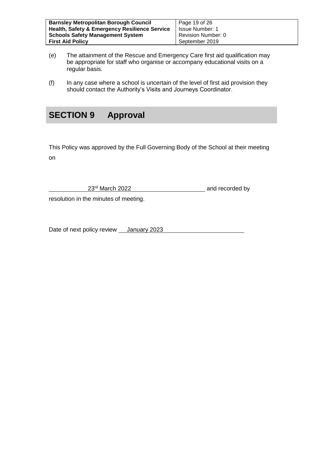| <b>Barnsley Metropolitan Borough Council</b>             | Page 19 of 26          |
|----------------------------------------------------------|------------------------|
| <b>Health, Safety &amp; Emergency Resilience Service</b> | <b>Issue Number: 1</b> |
| <b>Schools Safety Management System</b>                  | Revision Number: 0     |
| <b>First Aid Policy</b>                                  | September 2019         |

- (e) The attainment of the Rescue and Emergency Care first aid qualification may be appropriate for staff who organise or accompany educational visits on a regular basis.
- (f) In any case where a school is uncertain of the level of first aid provision they should contact the Authority's Visits and Journeys Coordinator.

## **SECTION 9 Approval**

This Policy was approved by the Full Governing Body of the School at their meeting on

23<sup>rd</sup> March 2022 **and recorded by** 

resolution in the minutes of meeting.

Date of next policy review \_\_ January 2023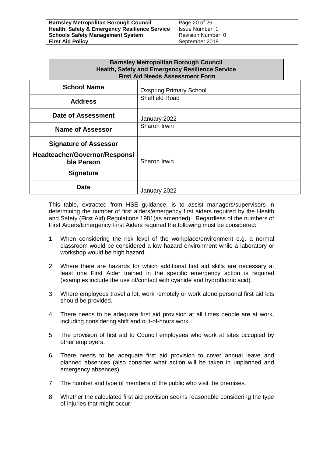| <b>Barnsley Metropolitan Borough Council</b>             | Page 20 of 26      |
|----------------------------------------------------------|--------------------|
| <b>Health, Safety &amp; Emergency Resilience Service</b> | Issue Number: 1    |
| <b>Schools Safety Management System</b>                  | Revision Number: 0 |
| <b>First Aid Policy</b>                                  | September 2019     |

|                    | <b>Barnsley Metropolitan Borough Council</b><br><b>Health, Safety and Emergency Resilience Service</b><br><b>First Aid Needs Assessment Form</b> |                                |  |
|--------------------|--------------------------------------------------------------------------------------------------------------------------------------------------|--------------------------------|--|
| <b>School Name</b> |                                                                                                                                                  | <b>Oxspring Primary School</b> |  |
|                    | <b>Address</b>                                                                                                                                   | <b>Sheffield Road</b>          |  |
|                    | <b>Date of Assessment</b>                                                                                                                        | January 2022                   |  |
|                    | <b>Name of Assessor</b>                                                                                                                          | Sharon Irwin                   |  |
|                    | <b>Signature of Assessor</b>                                                                                                                     |                                |  |
|                    | Headteacher/Governor/Responsi<br>ble Person                                                                                                      | Sharon Irwin                   |  |
|                    | <b>Signature</b>                                                                                                                                 |                                |  |
|                    | Date                                                                                                                                             | January 2022                   |  |

This table, extracted from HSE guidance, is to assist managers/supervisors in determining the number of first aiders/emergency first aiders required by the Health and Safety (First Aid) Regulations 1981(as amended) . Regardless of the numbers of First Aiders/Emergency First Aiders required the following must be considered:

- 1. When considering the risk level of the workplace/environment e.g. a normal classroom would be considered a low hazard environment while a laboratory or workshop would be high hazard.
- 2. Where there are hazards for which additional first aid skills are necessary at least one First Aider trained in the specific emergency action is required (examples include the use of/contact with cyanide and hydrofluoric acid).
- 3. Where employees travel a lot, work remotely or work alone personal first aid kits should be provided.
- 4. There needs to be adequate first aid provision at all times people are at work, including considering shift and out-of-hours work.
- 5. The provision of first aid to Council employees who work at sites occupied by other employers.
- 6. There needs to be adequate first aid provision to cover annual leave and planned absences (also consider what action will be taken in unplanned and emergency absences).
- 7. The number and type of members of the public who visit the premises.
- 8. Whether the calculated first aid provision seems reasonable considering the type of injuries that might occur.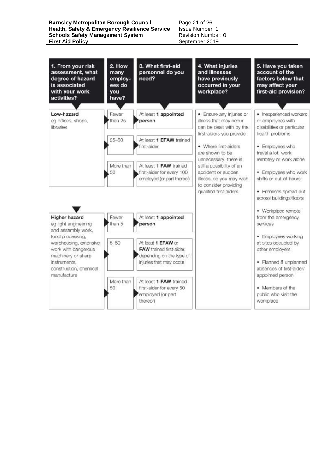| <b>Barnsley Metropolitan Borough Council</b><br><b>Health, Safety &amp; Emergency Resilience Service</b><br><b>Schools Safety Management System</b> | Page 21 of 26<br>Issue Number: 1<br>Revision Number: 0 |
|-----------------------------------------------------------------------------------------------------------------------------------------------------|--------------------------------------------------------|
| <b>First Aid Policy</b>                                                                                                                             | September 2019                                         |
|                                                                                                                                                     |                                                        |

| 1. From your risk<br>assessment, what<br>degree of hazard<br>is associated<br>with your work<br>activities?                   | 2. How<br>many<br>employ-<br>ees do<br>you<br>have? | 3. What first-aid<br>personnel do you<br>need?                                                        | 4. What injuries<br>and illnesses<br>have previously<br>occurred in your<br>workplace?                                         | 5. Have you taken<br>account of the<br>factors below that<br>may affect your<br>first-aid provision?  |
|-------------------------------------------------------------------------------------------------------------------------------|-----------------------------------------------------|-------------------------------------------------------------------------------------------------------|--------------------------------------------------------------------------------------------------------------------------------|-------------------------------------------------------------------------------------------------------|
| Low-hazard<br>eg offices, shops,<br>libraries                                                                                 | Fewer<br>than 25                                    | At least 1 appointed<br>person                                                                        | · Ensure any injuries or<br>illness that may occur<br>can be dealt with by the<br>first-aiders you provide                     | · Inexperienced workers<br>or employees with<br>disabilities or particular<br>health problems         |
|                                                                                                                               | $25 - 50$                                           | At least 1 EFAW trained<br>first-aider                                                                | · Where first-aiders<br>are shown to be<br>unnecessary, there is                                                               | · Employees who<br>travel a lot, work<br>remotely or work alone                                       |
|                                                                                                                               | More than<br>50                                     | At least 1 FAW trained<br>first-aider for every 100<br>employed (or part thereof)                     | still a possibility of an<br>accident or sudden<br>illness, so you may wish<br>to consider providing<br>qualified first-aiders | · Employees who work<br>shifts or out-of-hours<br>· Premises spread out                               |
| <b>Higher hazard</b><br>eg light engineering                                                                                  | Fewer<br>than 5                                     | At least 1 appointed<br>person                                                                        |                                                                                                                                | across buildings/floors<br>· Workplace remote<br>from the emergency<br>services                       |
| and assembly work,<br>food processing,<br>warehousing, extensive<br>work with dangerous<br>machinery or sharp<br>instruments. | $5 - 50$                                            | At least 1 EFAW or<br>FAW trained first-aider,<br>depending on the type of<br>injuries that may occur |                                                                                                                                | · Employees working<br>at sites occupied by<br>other employers<br>· Planned & unplanned               |
| construction, chemical<br>manufacture                                                                                         | More than<br>50                                     | At least 1 FAW trained<br>first-aider for every 50<br>employed (or part<br>thereof)                   |                                                                                                                                | absences of first-aider/<br>appointed person<br>• Members of the<br>public who visit the<br>workplace |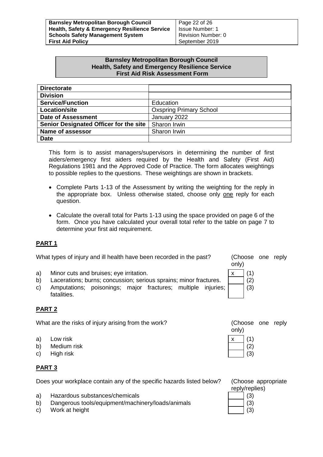| <b>Barnsley Metropolitan Borough Council</b>             | Page 22 of 26          |
|----------------------------------------------------------|------------------------|
| <b>Health, Safety &amp; Emergency Resilience Service</b> | <b>Issue Number: 1</b> |
| <b>Schools Safety Management System</b>                  | Revision Number: 0     |
| <b>First Aid Policy</b>                                  | September 2019         |

#### **Barnsley Metropolitan Borough Council Health, Safety and Emergency Resilience Service First Aid Risk Assessment Form**

| <b>Directorate</b>                     |                                |
|----------------------------------------|--------------------------------|
| <b>Division</b>                        |                                |
| <b>Service/Function</b>                | Education                      |
| <b>Location/site</b>                   | <b>Oxspring Primary School</b> |
| <b>Date of Assessment</b>              | January 2022                   |
| Senior Designated Officer for the site | Sharon Irwin                   |
| <b>Name of assessor</b>                | Sharon Irwin                   |
| <b>Date</b>                            |                                |

This form is to assist managers/supervisors in determining the number of first aiders/emergency first aiders required by the Health and Safety (First Aid) Regulations 1981 and the Approved Code of Practice. The form allocates weightings to possible replies to the questions. These weightings are shown in brackets.

- Complete Parts 1-13 of the Assessment by writing the weighting for the reply in the appropriate box. Unless otherwise stated, choose only one reply for each question.
- Calculate the overall total for Parts 1-13 using the space provided on page 6 of the form. Once you have calculated your overall total refer to the table on page 7 to determine your first aid requirement.

#### **PART 1**

What types of injury and ill health have been recorded in the past? (Choose one reply

a) Minor cuts and bruises; eye irritation.

- b) Lacerations; burns; concussion; serious sprains; minor fractures.
- c) Amputations; poisonings; major fractures; multiple injuries; fatalities.

#### **PART 2**

What are the risks of injury arising from the work? (Choose one reply

- a) Low risk  $\vert x \vert \vert (1)$
- b) Medium risk (2)
- c) High risk  $\vert$  (3)

#### **PART 3**

Does your workplace contain any of the specific hazards listed below? (Choose appropriate

- a) Hazardous substances/chemicals (3)  $\vert$  (3)
- b) Dangerous tools/equipment/machinery/loads/animals | | | (3)
- c) Work at height (3) Normal Contract of the studies of the studies of the studies of the studies of the studies of the studies of the studies of the studies of the studies of the studies of the studies of the studies of t

| , |         |
|---|---------|
|   | (1<br>) |
|   | (2)     |
|   | (3)     |
|   |         |

only)

only)



reply/replies)

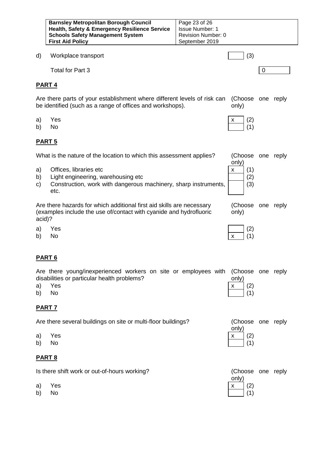| <b>Barnsley Metropolitan Borough Council</b>             | Page 23 of 26          |
|----------------------------------------------------------|------------------------|
| <b>Health, Safety &amp; Emergency Resilience Service</b> | <b>Issue Number: 1</b> |
| <b>Schools Safety Management System</b>                  | Revision Number: 0     |
| <b>First Aid Policy</b>                                  | September 2019         |

d) Workplace transport (3)

Total for Part 3 0

#### **PART 4**

Are there parts of your establishment where different levels of risk can be identified (such as a range of offices and workshops). (Choose one reply only)

- a) Yes x (2)
- 

#### **PART 5**

What is the nature of the location to which this assessment applies? (Choose one reply

- a) Offices, libraries etc  $\vert x \vert (1)$
- b) Light engineering, warehousing etc (2)
- c) Construction, work with dangerous machinery, sharp instruments, etc.

Are there hazards for which additional first aid skills are necessary (examples include the use of/contact with cyanide and hydrofluoric acid)?

- a) Yes (2)
- 

#### **PART 6**

Are there young/inexperienced workers on site or employees with (Choose one reply disabilities or particular health problems? only)

| a) | Yes | $x$ (2)                   |  |
|----|-----|---------------------------|--|
| b) | No  | $\boxed{\phantom{1}}$ (1) |  |

#### **PART 7**

Are there several buildings on site or multi-floor buildings? (Choose one reply

| a) Yes | $x \mid (2)$ |  |  |
|--------|--------------|--|--|
|--------|--------------|--|--|

#### **PART 8**

Is there shift work or out-of-hours working? (Choose one reply





(Choose one reply only)

|       | a) Yes | $\begin{matrix} \overline{1} \\ \overline{1} \\ \overline{1} \\ \end{matrix}$ (2) |  |
|-------|--------|-----------------------------------------------------------------------------------|--|
| b) No |        |                                                                                   |  |

|    | Are there several buildings on site or multi-floor buildings? | (Choose one<br>only) |  |
|----|---------------------------------------------------------------|----------------------|--|
|    | a) Yes                                                        | $x \qquad (2)$       |  |
| b) | - No                                                          |                      |  |

|       | Is there shift work or out-of-hours working? | (Choose o<br>only)  |     |  |
|-------|----------------------------------------------|---------------------|-----|--|
|       | a) Yes                                       | $\vert x \vert (2)$ |     |  |
| b) No |                                              |                     | (1) |  |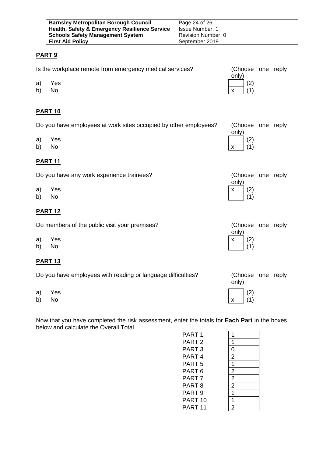| <b>Barnsley Metropolitan Borough Council</b>             | Page 24 of 26          |
|----------------------------------------------------------|------------------------|
| <b>Health, Safety &amp; Emergency Resilience Service</b> | <b>Issue Number: 1</b> |
| <b>Schools Safety Management System</b>                  | Revision Number: 0     |
| <b>First Aid Policy</b>                                  | September 2019         |

#### **PART 9**

|          | Is the workplace remote from emergency medical services?         | (Choose one reply<br>only) |  |
|----------|------------------------------------------------------------------|----------------------------|--|
| a)<br>b) | Yes<br>No                                                        | (2)<br>(1)<br>x            |  |
|          | <b>PART 10</b>                                                   |                            |  |
|          | Do you have employees at work sites occupied by other employees? | (Choose one reply          |  |
| a)<br>b) | Yes<br><b>No</b>                                                 | only)<br>(2)<br>(1)<br>X   |  |
|          | <b>PART 11</b>                                                   |                            |  |
|          | Do you have any work experience trainees?                        | (Choose one reply          |  |
| a)<br>b) | Yes<br>No                                                        | only)<br>(2)<br>x<br>(1)   |  |
|          | <b>PART 12</b>                                                   |                            |  |
|          | Do members of the public visit your premises?                    | (Choose one reply          |  |
| a)<br>b) | Yes<br>No                                                        | only)<br>(2)<br>x<br>(1)   |  |
|          | <b>PART 13</b>                                                   |                            |  |
|          | Do you have employees with reading or language difficulties?     | (Choose one reply<br>only) |  |
| a)<br>b) | Yes<br>No                                                        | (2)<br>(1)<br>X            |  |

Now that you have completed the risk assessment, enter the totals for **Each Part** in the boxes below and calculate the Overall Total.

| 1              |
|----------------|
| 0              |
| 2              |
| 1              |
| 2              |
| $\overline{2}$ |
| $\overline{2}$ |
| 1              |
| 1              |
| $\mathbf{S}$   |
|                |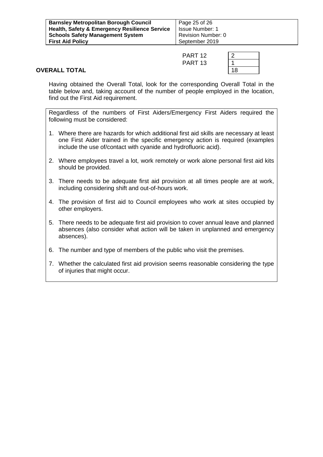| <b>Barnsley Metropolitan Borough Council</b>             | Page 25 of 26          |
|----------------------------------------------------------|------------------------|
| <b>Health, Safety &amp; Emergency Resilience Service</b> | <b>Issue Number: 1</b> |
| <b>Schools Safety Management System</b>                  | Revision Number: 0     |
| <b>First Aid Policy</b>                                  | September 2019         |

| PART <sub>12</sub> | $\overline{2}$ |
|--------------------|----------------|
| PART <sub>13</sub> |                |
|                    | 1۶             |

#### **OVERALL TOTAL**

Having obtained the Overall Total, look for the corresponding Overall Total in the table below and, taking account of the number of people employed in the location, find out the First Aid requirement.

Regardless of the numbers of First Aiders/Emergency First Aiders required the following must be considered:

- 1. Where there are hazards for which additional first aid skills are necessary at least one First Aider trained in the specific emergency action is required (examples include the use of/contact with cyanide and hydrofluoric acid).
- 2. Where employees travel a lot, work remotely or work alone personal first aid kits should be provided.
- 3. There needs to be adequate first aid provision at all times people are at work, including considering shift and out-of-hours work.
- 4. The provision of first aid to Council employees who work at sites occupied by other employers.
- 5. There needs to be adequate first aid provision to cover annual leave and planned absences (also consider what action will be taken in unplanned and emergency absences).
- 6. The number and type of members of the public who visit the premises.
- 7. Whether the calculated first aid provision seems reasonable considering the type of injuries that might occur.